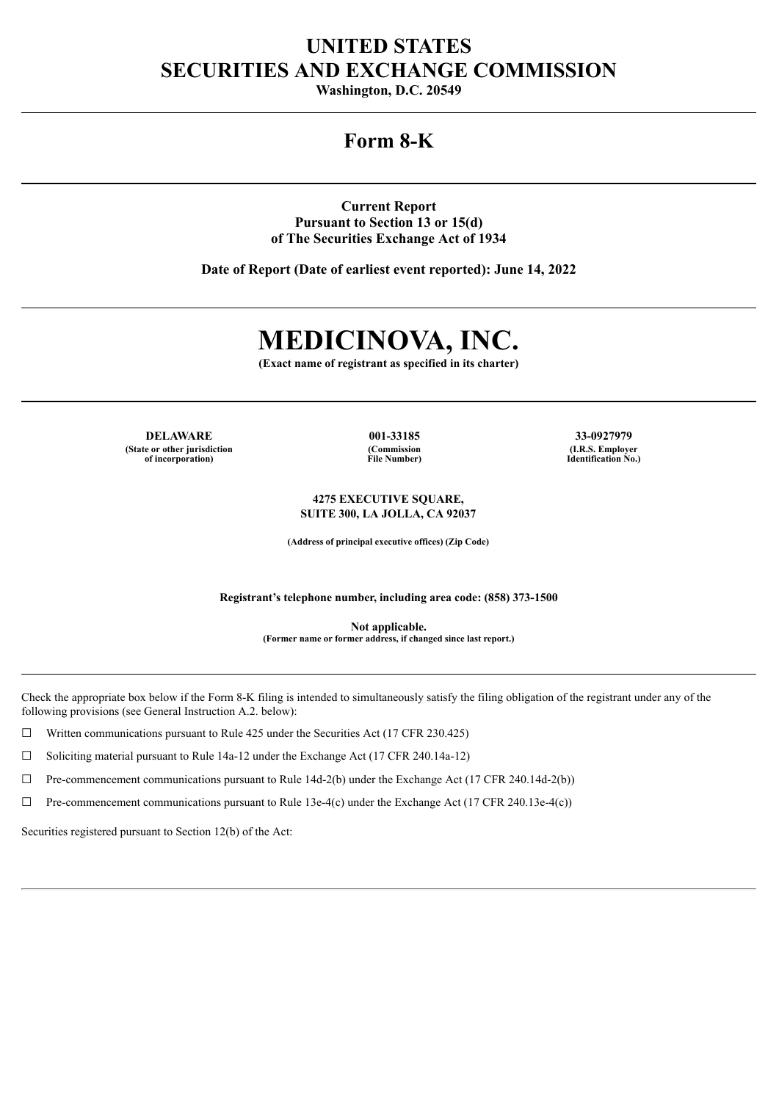## **UNITED STATES SECURITIES AND EXCHANGE COMMISSION**

**Washington, D.C. 20549**

## **Form 8-K**

**Current Report Pursuant to Section 13 or 15(d) of The Securities Exchange Act of 1934**

**Date of Report (Date of earliest event reported): June 14, 2022**

# **MEDICINOVA, INC.**

**(Exact name of registrant as specified in its charter)**

**DELAWARE 001-33185 33-0927979 (State or other jurisdiction of incorporation)**

**(Commission File Number)**

**(I.R.S. Employer Identification No.)**

**4275 EXECUTIVE SQUARE, SUITE 300, LA JOLLA, CA 92037**

**(Address of principal executive offices) (Zip Code)**

**Registrant's telephone number, including area code: (858) 373-1500**

**Not applicable. (Former name or former address, if changed since last report.)**

Check the appropriate box below if the Form 8-K filing is intended to simultaneously satisfy the filing obligation of the registrant under any of the following provisions (see General Instruction A.2. below):

 $\Box$  Written communications pursuant to Rule 425 under the Securities Act (17 CFR 230.425)

☐ Soliciting material pursuant to Rule 14a-12 under the Exchange Act (17 CFR 240.14a-12)

☐ Pre-commencement communications pursuant to Rule 14d-2(b) under the Exchange Act (17 CFR 240.14d-2(b))

 $\Box$  Pre-commencement communications pursuant to Rule 13e-4(c) under the Exchange Act (17 CFR 240.13e-4(c))

Securities registered pursuant to Section 12(b) of the Act: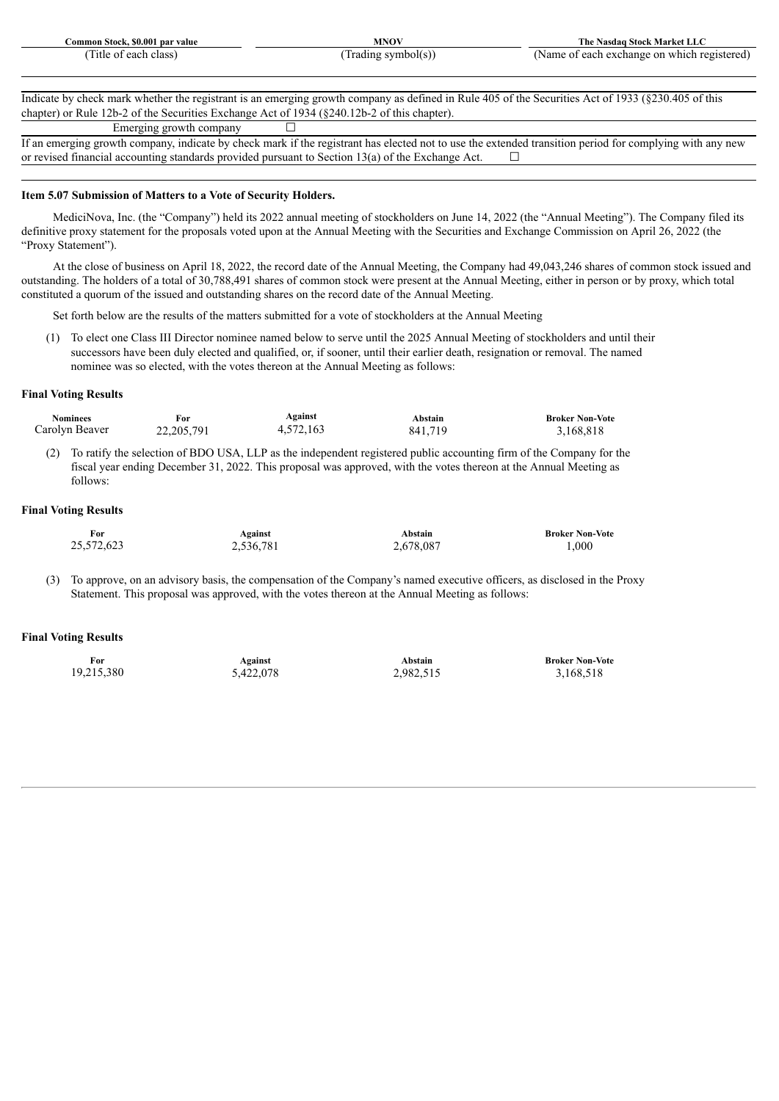| SO.OO*<br>par value<br>ommon<br>Stock. | <b>ANTON</b>              | l ne<br>'ket<br>NP.<br>Nasdaa<br>.5тос                                                                            |
|----------------------------------------|---------------------------|-------------------------------------------------------------------------------------------------------------------|
| class<br>' It I<br>nn c<br>≂au•        | ------<br>$\cdots$<br>ונר | on<br>eoister<br>ange<br>$\mathbf{a}$<br>. which<br>еас<br>. .<br>the contract of the contract of the<br>.<br>. . |

Indicate by check mark whether the registrant is an emerging growth company as defined in Rule 405 of the Securities Act of 1933 (§230.405 of this chapter) or Rule 12b-2 of the Securities Exchange Act of 1934 (§240.12b-2 of this chapter).

Emerging growth company  $\Box$ 

If an emerging growth company, indicate by check mark if the registrant has elected not to use the extended transition period for complying with any new or revised financial accounting standards provided pursuant to Section 13(a) of the Exchange Act.  $\Box$ 

#### **Item 5.07 Submission of Matters to a Vote of Security Holders.**

MediciNova, Inc. (the "Company") held its 2022 annual meeting of stockholders on June 14, 2022 (the "Annual Meeting"). The Company filed its definitive proxy statement for the proposals voted upon at the Annual Meeting with the Securities and Exchange Commission on April 26, 2022 (the "Proxy Statement").

At the close of business on April 18, 2022, the record date of the Annual Meeting, the Company had 49,043,246 shares of common stock issued and outstanding. The holders of a total of 30,788,491 shares of common stock were present at the Annual Meeting, either in person or by proxy, which total constituted a quorum of the issued and outstanding shares on the record date of the Annual Meeting.

Set forth below are the results of the matters submitted for a vote of stockholders at the Annual Meeting

(1) To elect one Class III Director nominee named below to serve until the 2025 Annual Meeting of stockholders and until their successors have been duly elected and qualified, or, if sooner, until their earlier death, resignation or removal. The named nominee was so elected, with the votes thereon at the Annual Meeting as follows:

#### **Final Voting Results**

| <b>Nominees</b> | For          | Against   | Abstain | <b>Broker Non-Vote</b> |
|-----------------|--------------|-----------|---------|------------------------|
| Carolyn Beaver  | 22, 205, 791 | 4,572,163 | 841,719 | 3,168,818              |

(2) To ratify the selection of BDO USA, LLP as the independent registered public accounting firm of the Company for the fiscal year ending December 31, 2022. This proposal was approved, with the votes thereon at the Annual Meeting as follows:

#### **Final Voting Results**

| For        | Against   | Abstain   | <b>Broker Non-Vote</b> |
|------------|-----------|-----------|------------------------|
| 25,572,623 | 2,536,781 | 2,678,087 | $000_{.1}$             |

(3) To approve, on an advisory basis, the compensation of the Company's named executive officers, as disclosed in the Proxy Statement. This proposal was approved, with the votes thereon at the Annual Meeting as follows:

#### **Final Voting Results**

| For        | <b>Against</b> | Abstain   | <b>Broker Non-Vote</b> |
|------------|----------------|-----------|------------------------|
| 19,215,380 | 5,422,078      | 2,982,515 | 3,168,518              |